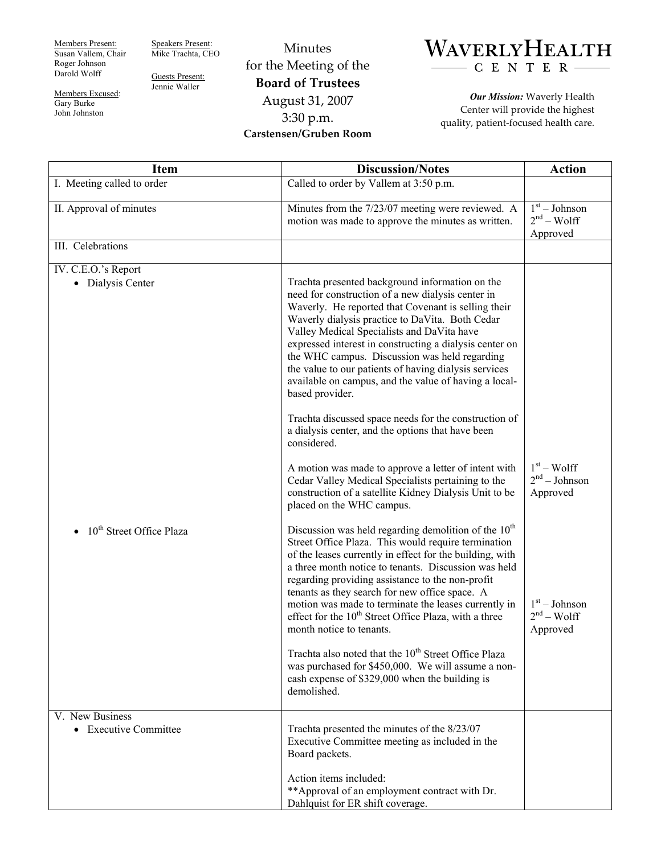Members Present: Susan Vallem, Chair Roger Johnson Darold Wolff

Speakers Present: Mike Trachta, CEO

Guests Present: Jennie Waller

Members Excused: Gary Burke John Johnston

Minutes for the Meeting of the **Board of Trustees**  August 31, 2007 3:30 p.m.

**Carstensen/Gruben Room** 



*Our Mission:* Waverly Health Center will provide the highest quality, patient-focused health care.

| <b>Item</b>                              | <b>Discussion/Notes</b>                                                                                                                                                                                                                                                                                                                                                                                                                                                                                                                                                                                                                                                                     | <b>Action</b>                               |
|------------------------------------------|---------------------------------------------------------------------------------------------------------------------------------------------------------------------------------------------------------------------------------------------------------------------------------------------------------------------------------------------------------------------------------------------------------------------------------------------------------------------------------------------------------------------------------------------------------------------------------------------------------------------------------------------------------------------------------------------|---------------------------------------------|
| I. Meeting called to order               | Called to order by Vallem at 3:50 p.m.                                                                                                                                                                                                                                                                                                                                                                                                                                                                                                                                                                                                                                                      |                                             |
| II. Approval of minutes                  | Minutes from the 7/23/07 meeting were reviewed. A<br>motion was made to approve the minutes as written.                                                                                                                                                                                                                                                                                                                                                                                                                                                                                                                                                                                     | $1st - Johnson$<br>$2nd - Wolf$<br>Approved |
| III. Celebrations                        |                                                                                                                                                                                                                                                                                                                                                                                                                                                                                                                                                                                                                                                                                             |                                             |
| IV. C.E.O.'s Report<br>• Dialysis Center | Trachta presented background information on the<br>need for construction of a new dialysis center in<br>Waverly. He reported that Covenant is selling their<br>Waverly dialysis practice to DaVita. Both Cedar<br>Valley Medical Specialists and DaVita have<br>expressed interest in constructing a dialysis center on<br>the WHC campus. Discussion was held regarding<br>the value to our patients of having dialysis services<br>available on campus, and the value of having a local-<br>based provider.                                                                                                                                                                               |                                             |
|                                          | Trachta discussed space needs for the construction of<br>a dialysis center, and the options that have been<br>considered.<br>A motion was made to approve a letter of intent with<br>Cedar Valley Medical Specialists pertaining to the<br>construction of a satellite Kidney Dialysis Unit to be<br>placed on the WHC campus.                                                                                                                                                                                                                                                                                                                                                              | $1st - Wolf$<br>$2nd - Johnson$<br>Approved |
| 10 <sup>th</sup> Street Office Plaza     | Discussion was held regarding demolition of the $10th$<br>Street Office Plaza. This would require termination<br>of the leases currently in effect for the building, with<br>a three month notice to tenants. Discussion was held<br>regarding providing assistance to the non-profit<br>tenants as they search for new office space. A<br>motion was made to terminate the leases currently in<br>effect for the 10 <sup>th</sup> Street Office Plaza, with a three<br>month notice to tenants.<br>Trachta also noted that the 10 <sup>th</sup> Street Office Plaza<br>was purchased for \$450,000. We will assume a non-<br>cash expense of \$329,000 when the building is<br>demolished. | $1st - Johnson$<br>$2nd - Wolf$<br>Approved |
| V. New Business<br>• Executive Committee | Trachta presented the minutes of the 8/23/07<br>Executive Committee meeting as included in the<br>Board packets.<br>Action items included:<br>** Approval of an employment contract with Dr.<br>Dahlquist for ER shift coverage.                                                                                                                                                                                                                                                                                                                                                                                                                                                            |                                             |